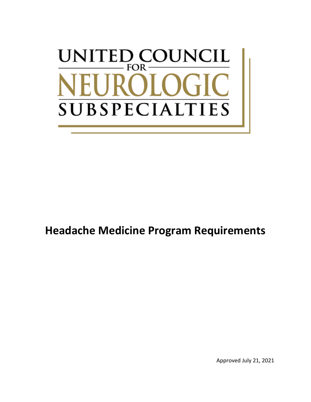# UNITED COUNCIL  $FOR$ -IRC **SUBSPECIALTIES**

## **Headache Medicine Program Requirements**

Approved July 21, 2021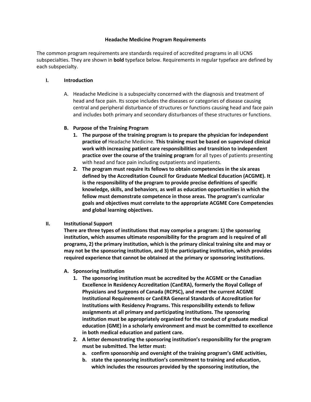#### **Headache Medicine Program Requirements**

The common program requirements are standards required of accredited programs in all UCNS subspecialties. They are shown in **bold** typeface below. Requirements in regular typeface are defined by each subspecialty.

#### **I. Introduction**

A. Headache Medicine is a subspecialty concerned with the diagnosis and treatment of head and face pain. Its scope includes the diseases or categories of disease causing central and peripheral disturbance of structures or functions causing head and face pain and includes both primary and secondary disturbances of these structures or functions.

#### **B. Purpose of the Training Program**

- **1. The purpose of the training program is to prepare the physician for independent practice of** Headache Medicine. **This training must be based on supervised clinical work with increasing patient care responsibilities and transition to independent practice over the course of the training program** for all types of patients presenting with head and face pain including outpatients and inpatients.
- **2. The program must require its fellows to obtain competencies in the six areas defined by the Accreditation Council for Graduate Medical Education (ACGME). It is the responsibility of the program to provide precise definitions of specific knowledge, skills, and behaviors**, **as well as education opportunities in which the fellow must demonstrate competence in those areas. The program's curricular goals and objectives must correlate to the appropriate ACGME Core Competencies and global learning objectives.**

#### **II. Institutional Support**

**There are three types of institutions that may comprise a program: 1) the sponsoring institution, which assumes ultimate responsibility for the program and is required of all programs, 2) the primary institution, which is the primary clinical training site and may or may not be the sponsoring institution, and 3) the participating institution, which provides required experience that cannot be obtained at the primary or sponsoring institutions.**

#### **A. Sponsoring Institution**

- **1. The sponsoring institution must be accredited by the ACGME or the Canadian Excellence in Residency Accreditation (CanERA), formerly the Royal College of Physicians and Surgeons of Canada (RCPSC), and meet the current ACGME Institutional Requirements or CanERA General Standards of Accreditation for Institutions with Residency Programs. This responsibility extends to fellow assignments at all primary and participating institutions. The sponsoring institution must be appropriately organized for the conduct of graduate medical education (GME) in a scholarly environment and must be committed to excellence in both medical education and patient care.**
- **2. A letter demonstrating the sponsoring institution's responsibility for the program must be submitted. The letter must:**
	- **a. confirm sponsorship and oversight of the training program's GME activities,**
	- **b. state the sponsoring institution's commitment to training and education, which includes the resources provided by the sponsoring institution, the**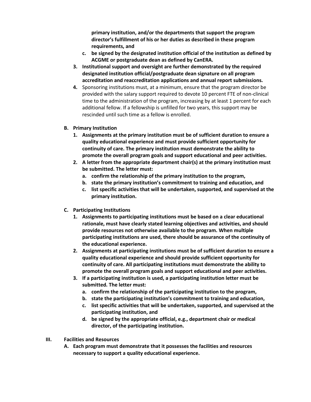**primary institution, and/or the departments that support the program director's fulfillment of his or her duties as described in these program requirements, and**

- **c. be signed by the designated institution official of the institution as defined by ACGME or postgraduate dean as defined by CanERA.**
- **3. Institutional support and oversight are further demonstrated by the required designated institution official/postgraduate dean signature on all program accreditation and reaccreditation applications and annual report submissions.**
- **4.** Sponsoring institutions must, at a minimum, ensure that the program director be provided with the salary support required to devote 10 percent FTE of non-clinical time to the administration of the program, increasing by at least 1 percent for each additional fellow. If a fellowship is unfilled for two years, this support may be rescinded until such time as a fellow is enrolled.
- **B. Primary Institution**
	- **1. Assignments at the primary institution must be of sufficient duration to ensure a quality educational experience and must provide sufficient opportunity for continuity of care. The primary institution must demonstrate the ability to promote the overall program goals and support educational and peer activities.**
	- **2. A letter from the appropriate department chair(s) at the primary institution must be submitted. The letter must:**
		- **a. confirm the relationship of the primary institution to the program,**
		- **b. state the primary institution's commitment to training and education, and**
		- **c. list specific activities that will be undertaken, supported, and supervised at the primary institution.**
- **C. Participating Institutions**
	- **1. Assignments to participating institutions must be based on a clear educational rationale, must have clearly stated learning objectives and activities, and should provide resources not otherwise available to the program. When multiple participating institutions are used, there should be assurance of the continuity of the educational experience.**
	- **2. Assignments at participating institutions must be of sufficient duration to ensure a quality educational experience and should provide sufficient opportunity for continuity of care. All participating institutions must demonstrate the ability to promote the overall program goals and support educational and peer activities.**
	- **3. If a participating institution is used, a participating institution letter must be submitted. The letter must:**
		- **a. confirm the relationship of the participating institution to the program,**
		- **b. state the participating institution's commitment to training and education,**
		- **c. list specific activities that will be undertaken, supported, and supervised at the participating institution, and**
		- **d. be signed by the appropriate official, e.g., department chair or medical director, of the participating institution.**
- **III. Facilities and Resources**
	- **A. Each program must demonstrate that it possesses the facilities and resources necessary to support a quality educational experience.**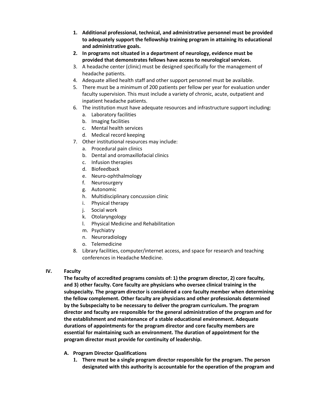- **1. Additional professional, technical, and administrative personnel must be provided to adequately support the fellowship training program in attaining its educational and administrative goals.**
- **2. In programs not situated in a department of neurology, evidence must be provided that demonstrates fellows have access to neurological services.**
- 3. A headache center (clinic) must be designed specifically for the management of headache patients.
- 4. Adequate allied health staff and other support personnel must be available.
- 5. There must be a minimum of 200 patients per fellow per year for evaluation under faculty supervision. This must include a variety of chronic, acute, outpatient and inpatient headache patients.
- 6. The institution must have adequate resources and infrastructure support including:
	- a. Laboratory facilities
	- b. Imaging facilities
	- c. Mental health services
	- d. Medical record keeping
- 7. Other institutional resources may include:
	- a. Procedural pain clinics
	- b. Dental and oromaxillofacial clinics
	- c. Infusion therapies
	- d. Biofeedback
	- e. Neuro-ophthalmology
	- f. Neurosurgery
	- g. Autonomic
	- h. Multidisciplinary concussion clinic
	- i. Physical therapy
	- j. Social work
	- k. Otolaryngology
	- l. Physical Medicine and Rehabilitation
	- m. Psychiatry
	- n. Neuroradiology
	- o. Telemedicine
- 8. Library facilities, computer/internet access, and space for research and teaching conferences in Headache Medicine.

### **IV. Faculty**

**The faculty of accredited programs consists of: 1) the program director, 2) core faculty, and 3) other faculty. Core faculty are physicians who oversee clinical training in the subspecialty. The program director is considered a core faculty member when determining the fellow complement. Other faculty are physicians and other professionals determined by the Subspecialty to be necessary to deliver the program curriculum. The program director and faculty are responsible for the general administration of the program and for the establishment and maintenance of a stable educational environment. Adequate durations of appointments for the program director and core faculty members are essential for maintaining such an environment. The duration of appointment for the program director must provide for continuity of leadership.**

- **A. Program Director Qualifications**
	- **1. There must be a single program director responsible for the program. The person designated with this authority is accountable for the operation of the program and**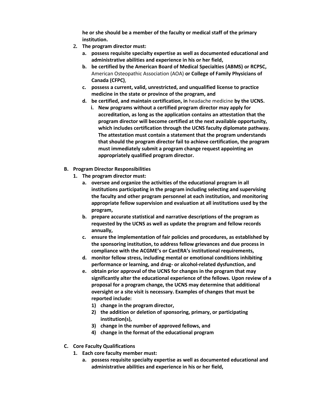**he or she should be a member of the faculty or medical staff of the primary institution.**

- **2. The program director must:**
	- **a. possess requisite specialty expertise as well as documented educational and administrative abilities and experience in his or her field,**
	- **b. be certified by the American Board of Medical Specialties (ABMS) or RCPSC,** American Osteopathic Association (AOA) **or College of Family Physicians of Canada (CFPC)**,
	- **c. possess a current, valid, unrestricted, and unqualified license to practice medicine in the state or province of the program, and**
	- **d. be certified, and maintain certification, in** headache medicine **by the UCNS.**
		- **i. New programs without a certified program director may apply for accreditation, as long as the application contains an attestation that the program director will become certified at the next available opportunity, which includes certification through the UCNS faculty diplomate pathway. The attestation must contain a statement that the program understands that should the program director fail to achieve certification, the program must immediately submit a program change request appointing an appropriately qualified program director.**
- **B. Program Director Responsibilities**
	- **1. The program director must:**
		- **a. oversee and organize the activities of the educational program in all institutions participating in the program including selecting and supervising the faculty and other program personnel at each institution, and monitoring appropriate fellow supervision and evaluation at all institutions used by the program,**
		- **b. prepare accurate statistical and narrative descriptions of the program as requested by the UCNS as well as update the program and fellow records annually,**
		- **c. ensure the implementation of fair policies and procedures, as established by the sponsoring institution, to address fellow grievances and due process in compliance with the ACGME's or CanERA's institutional requirements,**
		- **d. monitor fellow stress, including mental or emotional conditions inhibiting performance or learning, and drug- or alcohol-related dysfunction, and**
		- **e. obtain prior approval of the UCNS for changes in the program that may significantly alter the educational experience of the fellows. Upon review of a proposal for a program change, the UCNS may determine that additional oversight or a site visit is necessary. Examples of changes that must be reported include:**
			- **1) change in the program director,**
			- **2) the addition or deletion of sponsoring, primary, or participating institution(s),**
			- **3) change in the number of approved fellows, and**
			- **4) change in the format of the educational program**
- **C. Core Faculty Qualifications**
	- **1. Each core faculty member must:** 
		- **a. possess requisite specialty expertise as well as documented educational and administrative abilities and experience in his or her field,**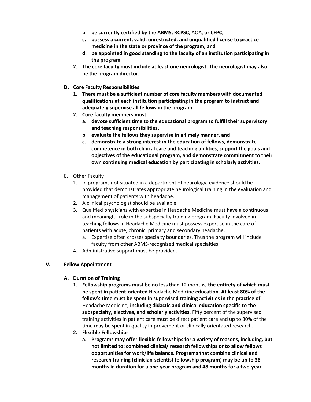- **b. be currently certified by the ABMS, RCPSC**, AOA, **or CFPC,**
- **c. possess a current, valid, unrestricted, and unqualified license to practice medicine in the state or province of the program, and**
- **d. be appointed in good standing to the faculty of an institution participating in the program.**
- **2. The core faculty must include at least one neurologist. The neurologist may also be the program director.**
- **D. Core Faculty Responsibilities**
	- **1. There must be a sufficient number of core faculty members with documented qualifications at each institution participating in the program to instruct and adequately supervise all fellows in the program.**
	- **2. Core faculty members must:**
		- **a. devote sufficient time to the educational program to fulfill their supervisory and teaching responsibilities,**
		- **b. evaluate the fellows they supervise in a timely manner, and**
		- **c. demonstrate a strong interest in the education of fellows, demonstrate competence in both clinical care and teaching abilities, support the goals and objectives of the educational program, and demonstrate commitment to their own continuing medical education by participating in scholarly activities.**
- E. Other Faculty
	- 1. In programs not situated in a department of neurology, evidence should be provided that demonstrates appropriate neurological training in the evaluation and management of patients with headache.
	- 2. A clinical psychologist should be available.
	- 3. Qualified physicians with expertise in Headache Medicine must have a continuous and meaningful role in the subspecialty training program. Faculty involved in teaching fellows in Headache Medicine must possess expertise in the care of patients with acute, chronic, primary and secondary headache.
		- a. Expertise often crosses specialty boundaries. Thus the program will include faculty from other ABMS-recognized medical specialties.
	- 4. Administrative support must be provided.

### **V. Fellow Appointment**

- **A. Duration of Training**
	- **1. Fellowship programs must be no less than** 12 months**, the entirety of which must be spent in patient-oriented** Headache Medicine **education. At least 80% of the fellow's time must be spent in supervised training activities in the practice of**  Headache Medicine**, including didactic and clinical education specific to the subspecialty, electives, and scholarly activities.** Fifty percent of the supervised training activities in patient care must be direct patient care and up to 30% of the time may be spent in quality improvement or clinically orientated research.
	- **2. Flexible Fellowships**
		- **a. Programs may offer flexible fellowships for a variety of reasons, including, but not limited to: combined clinical/ research fellowships or to allow fellows opportunities for work/life balance. Programs that combine clinical and research training (clinician-scientist fellowship program) may be up to 36 months in duration for a one-year program and 48 months for a two-year**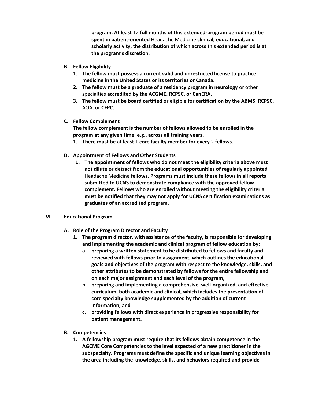**program. At least** 12 **full months of this extended-program period must be spent in patient-oriented** Headache Medicine **clinical, educational, and scholarly activity, the distribution of which across this extended period is at the program's discretion.**

- **B. Fellow Eligibility**
	- **1. The fellow must possess a current valid and unrestricted license to practice medicine in the United States or its territories or Canada.**
	- **2. The fellow must be a graduate of a residency program in neurology** or other specialties **accredited by the ACGME, RCPSC, or CanERA.**
	- **3. The fellow must be board certified or eligible for certification by the ABMS, RCPSC,** AOA, **or CFPC.**
- **C. Fellow Complement**

**The fellow complement is the number of fellows allowed to be enrolled in the program at any given time, e.g., across all training years.** 

- **1. There must be at least** 1 **core faculty member for every** 2 **fellows**.
- **D. Appointment of Fellows and Other Students**
	- **1. The appointment of fellows who do not meet the eligibility criteria above must not dilute or detract from the educational opportunities of regularly appointed**  Headache Medicine **fellows. Programs must include these fellows in all reports submitted to UCNS to demonstrate compliance with the approved fellow complement. Fellows who are enrolled without meeting the eligibility criteria must be notified that they may not apply for UCNS certification examinations as graduates of an accredited program.**

#### **VI. Educational Program**

- **A. Role of the Program Director and Faculty**
	- **1. The program director, with assistance of the faculty, is responsible for developing and implementing the academic and clinical program of fellow education by:**
		- **a. preparing a written statement to be distributed to fellows and faculty and reviewed with fellows prior to assignment, which outlines the educational goals and objectives of the program with respect to the knowledge, skills, and other attributes to be demonstrated by fellows for the entire fellowship and on each major assignment and each level of the program,**
		- **b. preparing and implementing a comprehensive, well-organized, and effective curriculum, both academic and clinical, which includes the presentation of core specialty knowledge supplemented by the addition of current information, and**
		- **c. providing fellows with direct experience in progressive responsibility for patient management.**
- **B. Competencies**
	- **1. A fellowship program must require that its fellows obtain competence in the AGCME Core Competencies to the level expected of a new practitioner in the subspecialty. Programs must define the specific and unique learning objectives in the area including the knowledge, skills, and behaviors required and provide**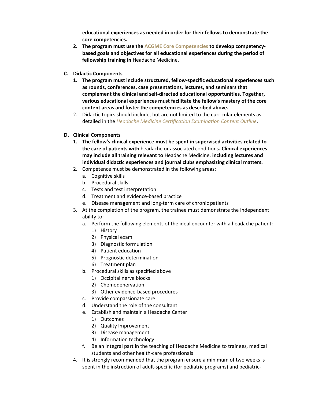**educational experiences as needed in order for their fellows to demonstrate the core competencies.**

- **2. The program must use th[e ACGME Core Competencies](https://www.ucns.org/Online/Accreditation/Online/Accreditation_Home.aspx?hkey=b3855106-2a75-4dcd-8300-f250d6487dc9) to develop competencybased goals and objectives for all educational experiences during the period of fellowship training in** Headache Medicine.
- **C. Didactic Components**
	- **1. The program must include structured, fellow-specific educational experiences such as rounds, conferences, case presentations, lectures, and seminars that complement the clinical and self-directed educational opportunities. Together, various educational experiences must facilitate the fellow's mastery of the core content areas and foster the competencies as described above.**
	- 2. Didactic topics should include, but are not limited to the curricular elements as detailed in the *[Headache Medicine Certification Examination Content Outline](https://www.ucns.org/Online/Certification/Headache_Cert.aspx)*.
- **D. Clinical Components**
	- **1. The fellow's clinical experience must be spent in supervised activities related to the care of patients with** headache or associated conditions**. Clinical experiences may include all training relevant to** Headache Medicine, **including lectures and individual didactic experiences and journal clubs emphasizing clinical matters.**
	- 2. Competence must be demonstrated in the following areas:
		- a. Cognitive skills
		- b. Procedural skills
		- c. Tests and test interpretation
		- d. Treatment and evidence-based practice
		- e. Disease management and long-term care of chronic patients
	- 3. At the completion of the program, the trainee must demonstrate the independent ability to:
		- a. Perform the following elements of the ideal encounter with a headache patient:
			- 1) History
			- 2) Physical exam
			- 3) Diagnostic formulation
			- 4) Patient education
			- 5) Prognostic determination
			- 6) Treatment plan
		- b. Procedural skills as specified above
			- 1) Occipital nerve blocks
			- 2) Chemodenervation
			- 3) Other evidence-based procedures
		- c. Provide compassionate care
		- d. Understand the role of the consultant
		- e. Establish and maintain a Headache Center
			- 1) Outcomes
			- 2) Quality Improvement
			- 3) Disease management
			- 4) Information technology
		- f. Be an integral part in the teaching of Headache Medicine to trainees, medical students and other health-care professionals
	- 4. It is strongly recommended that the program ensure a minimum of two weeks is spent in the instruction of adult-specific (for pediatric programs) and pediatric-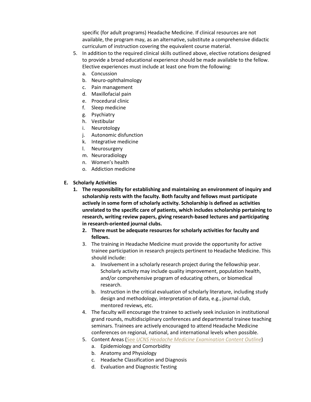specific (for adult programs) Headache Medicine. If clinical resources are not available, the program may, as an alternative, substitute a comprehensive didactic curriculum of instruction covering the equivalent course material.

- 5. In addition to the required clinical skills outlined above, elective rotations designed to provide a broad educational experience should be made available to the fellow. Elective experiences must include at least one from the following:
	- a. Concussion
	- b. Neuro-ophthalmology
	- c. Pain management
	- d. Maxillofacial pain
	- e. Procedural clinic
	- f. Sleep medicine
	- g. Psychiatry
	- h. Vestibular
	- i. Neurotology
	- j. Autonomic disfunction
	- k. Integrative medicine
	- l. Neurosurgery
	- m. Neuroradiology
	- n. Women's health
	- o. Addiction medicine
- **E. Scholarly Activities**
	- **1. The responsibility for establishing and maintaining an environment of inquiry and scholarship rests with the faculty. Both faculty and fellows must participate actively in some form of scholarly activity. Scholarship is defined as activities unrelated to the specific care of patients, which includes scholarship pertaining to research, writing review papers, giving research-based lectures and participating in research-oriented journal clubs.**
		- **2. There must be adequate resources for scholarly activities for faculty and fellows.**
		- 3. The training in Headache Medicine must provide the opportunity for active trainee participation in research projects pertinent to Headache Medicine. This should include:
			- a. Involvement in a scholarly research project during the fellowship year. Scholarly activity may include quality improvement, population health, and/or comprehensive program of educating others, or biomedical research.
			- b. Instruction in the critical evaluation of scholarly literature, including study design and methodology, interpretation of data, e.g., journal club, mentored reviews, etc.
		- 4. The faculty will encourage the trainee to actively seek inclusion in institutional grand rounds, multidisciplinary conferences and departmental trainee teaching seminars. Trainees are actively encouraged to attend Headache Medicine conferences on regional, national, and international levels when possible.
		- 5. Content Areas (See *UCNS [Headache Medicine Examination Content Outline](https://www.ucns.org/Online/Initial_Certification/Headache_Medicine/Online/Certification/Headache_Cert.aspx?hkey=3c46741a-5991-4a63-8f17-ddfda7cb8c21)*)
			- a. Epidemiology and Comorbidity
			- b. Anatomy and Physiology
			- c. Headache Classification and Diagnosis
			- d. Evaluation and Diagnostic Testing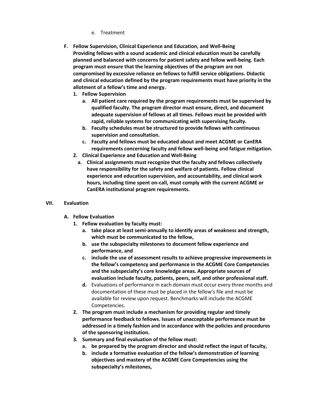- e. Treatment
- **F. Fellow Supervision, Clinical Experience and Education, and Well-Being Providing fellows with a sound academic and clinical education must be carefully planned and balanced with concerns for patient safety and fellow well-being. Each program must ensure that the learning objectives of the program are not compromised by excessive reliance on fellows to fulfill service obligations. Didactic and clinical education defined by the program requirements must have priority in the allotment of a fellow's time and energy.**
	- **1. Fellow Supervision**
		- **a. All patient care required by the program requirements must be supervised by qualified faculty. The program director must ensure, direct, and document adequate supervision of fellows at all times. Fellows must be provided with rapid, reliable systems for communicating with supervising faculty.**
		- **b. Faculty schedules must be structured to provide fellows with continuous supervision and consultation.**
		- **c. Faculty and fellows must be educated about and meet ACGME or CanERA requirements concerning faculty and fellow well-being and fatigue mitigation.**
	- **2. Clinical Experience and Education and Well-Being**
		- **a. Clinical assignments must recognize that the faculty and fellows collectively have responsibility for the safety and welfare of patients. Fellow clinical experience and education supervision, and accountability, and clinical work hours, including time spent on-call, must comply with the current ACGME or CanERA institutional program requirements.**

#### **VII. Evaluation**

- **A. Fellow Evaluation**
	- **1. Fellow evaluation by faculty must:**
		- **a. take place at least semi-annually to identify areas of weakness and strength, which must be communicated to the fellow,**
		- **b. use the subspecialty milestones to document fellow experience and performance, and**
		- **c. include the use of assessment results to achieve progressive improvements in the fellow's competency and performance in the ACGME Core Competencies and the subspecialty's core knowledge areas. Appropriate sources of evaluation include faculty, patients, peers, self, and other professional staff.**
		- **d.** Evaluations of performance in each domain must occur every three months and documentation of these must be placed in the fellow's file and must be available for review upon request. Benchmarks will include the ACGME Competencies.
	- **2. The program must include a mechanism for providing regular and timely performance feedback to fellows. Issues of unacceptable performance must be addressed in a timely fashion and in accordance with the policies and procedures of the sponsoring institution.**
	- **3. Summary and final evaluation of the fellow must:**
		- **a. be prepared by the program director and should reflect the input of faculty,**
		- **b. include a formative evaluation of the fellow's demonstration of learning objectives and mastery of the ACGME Core Competencies using the subspecialty's milestones,**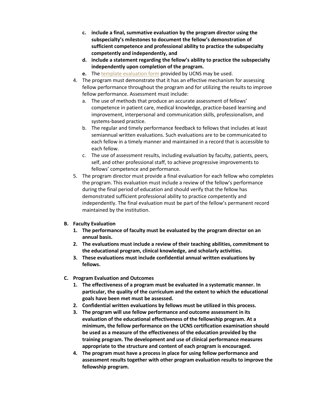- **c. include a final, summative evaluation by the program director using the subspecialty's milestones to document the fellow's demonstration of sufficient competence and professional ability to practice the subspecialty competently and independently, and**
- **d. include a statement regarding the fellow's ability to practice the subspecialty independently upon completion of the program.**
- **e.** The [template evaluation form](https://www.ucns.org/Online/Accreditation/Online/Accreditation_Home.aspx?hkey=b3855106-2a75-4dcd-8300-f250d6487dc9) provided by UCNS may be used.
- 4. The program must demonstrate that it has an effective mechanism for assessing fellow performance throughout the program and for utilizing the results to improve fellow performance. Assessment must include:
	- a. The use of methods that produce an accurate assessment of fellows' competence in patient care, medical knowledge, practice-based learning and improvement, interpersonal and communication skills, professionalism, and systems-based practice.
	- b. The regular and timely performance feedback to fellows that includes at least semiannual written evaluations. Such evaluations are to be communicated to each fellow in a timely manner and maintained in a record that is accessible to each fellow.
	- c. The use of assessment results, including evaluation by faculty, patients, peers, self, and other professional staff, to achieve progressive improvements to fellows' competence and performance.
- 5. The program director must provide a final evaluation for each fellow who completes the program. This evaluation must include a review of the fellow's performance during the final period of education and should verify that the fellow has demonstrated sufficient professional ability to practice competently and independently. The final evaluation must be part of the fellow's permanent record maintained by the institution.

#### **B. Faculty Evaluation**

- **1. The performance of faculty must be evaluated by the program director on an annual basis.**
- **2. The evaluations must include a review of their teaching abilities, commitment to the educational program, clinical knowledge, and scholarly activities.**
- **3. These evaluations must include confidential annual written evaluations by fellows.**
- **C. Program Evaluation and Outcomes**
	- **1. The effectiveness of a program must be evaluated in a systematic manner. In particular, the quality of the curriculum and the extent to which the educational goals have been met must be assessed.**
	- **2. Confidential written evaluations by fellows must be utilized in this process.**
	- **3. The program will use fellow performance and outcome assessment in its evaluation of the educational effectiveness of the fellowship program. At a minimum, the fellow performance on the UCNS certification examination should be used as a measure of the effectiveness of the education provided by the training program. The development and use of clinical performance measures appropriate to the structure and content of each program is encouraged.**
	- **4. The program must have a process in place for using fellow performance and assessment results together with other program evaluation results to improve the fellowship program.**